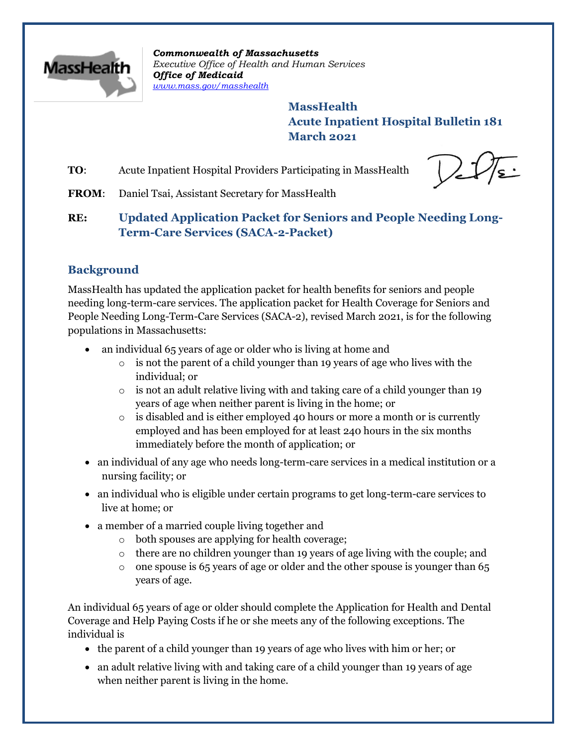

*Commonwealth of Massachusetts Executive Office of Health and Human Services Office of Medicaid [www.mass.gov/masshealth](http://www.mass.gov/masshealth)*

> **MassHealth Acute Inpatient Hospital Bulletin 181 March 2021**

**TO:** Acute Inpatient Hospital Providers Participating in MassHealth

FROM: Daniel Tsai, Assistant Secretary for MassHealth

# **RE: Updated Application Packet for Seniors and People Needing Long-Term-Care Services (SACA-2-Packet)**

## **Background**

MassHealth has updated the application packet for health benefits for seniors and people needing long-term-care services. The application packet for Health Coverage for Seniors and People Needing Long-Term-Care Services (SACA-2), revised March 2021, is for the following populations in Massachusetts:

- an individual 65 years of age or older who is living at home and
	- $\circ$  is not the parent of a child younger than 19 years of age who lives with the individual; or
	- $\circ$  is not an adult relative living with and taking care of a child younger than 19 years of age when neither parent is living in the home; or
	- $\circ$  is disabled and is either employed 40 hours or more a month or is currently employed and has been employed for at least 240 hours in the six months immediately before the month of application; or
- an individual of any age who needs long-term-care services in a medical institution or a nursing facility; or
- an individual who is eligible under certain programs to get long-term-care services to live at home; or
- a member of a married couple living together and
	- o both spouses are applying for health coverage;
	- $\circ$  there are no children younger than 19 years of age living with the couple; and
	- $\circ$  one spouse is 65 years of age or older and the other spouse is younger than 65 years of age.

An individual 65 years of age or older should complete the Application for Health and Dental Coverage and Help Paying Costs if he or she meets any of the following exceptions. The individual is

- the parent of a child younger than 19 years of age who lives with him or her; or
- an adult relative living with and taking care of a child younger than 19 years of age when neither parent is living in the home.